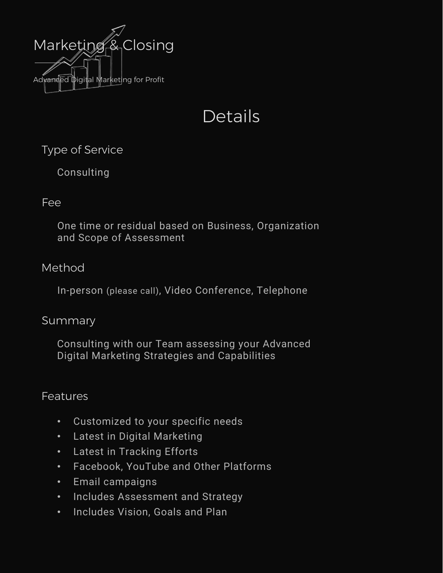

# Details

Type of Service

Consulting

# Fee

One time or residual based on Business, Organization and Scope of Assessment

# Method

In-person (please call), Video Conference, Telephone

## Summary

Consulting with our Team assessing your Advanced Digital Marketing Strategies and Capabilities

# **Features**

- Customized to your specific needs
- Latest in Digital Marketing
- Latest in Tracking Efforts
- Facebook, YouTube and Other Platforms
- Email campaigns
- Includes Assessment and Strategy
- Includes Vision, Goals and Plan